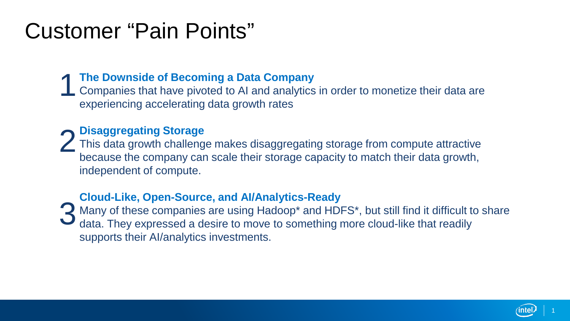# Customer "Pain Points"

## **The Downside of Becoming a Data Company** 1

Companies that have pivoted to AI and analytics in order to monetize their data are experiencing accelerating data growth rates

## **Disaggregating Storage**

This data growth challenge makes disaggregating storage from compute attractive because the company can scale their storage capacity to match their data growth, independent of compute. 2

### **Cloud-Like, Open-Source, and AI/Analytics-Ready**

Many of these companies are using Hadoop\* and HDFS\*, but still find it difficult to share 3 Many of these companies are using Hadoop\* and HDFS\*, but still find it difficult to data. They expressed a desire to move to something more cloud-like that readily supports their AI/analytics investments.

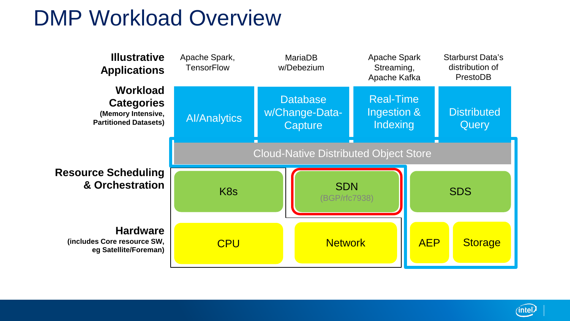# DMP Workload Overview